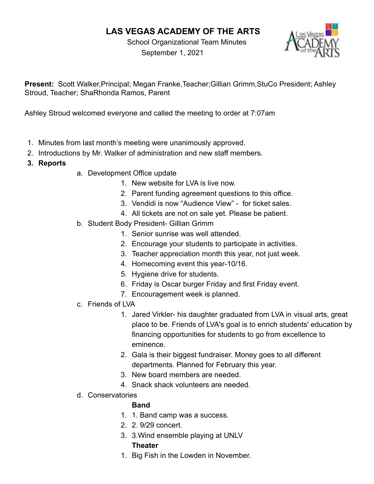# **LAS VEGAS ACADEMY OF THE ARTS**

School Organizational Team Minutes September 1, 2021



**Present:** Scott Walker,Principal; Megan Franke,Teacher;Gillian Grimm,StuCo President; Ashley Stroud, Teacher; ShaRhonda Ramos, Parent

Ashley Stroud welcomed everyone and called the meeting to order at 7:07am

- 1. Minutes from last month's meeting were unanimously approved.
- 2. Introductions by Mr. Walker of administration and new staff members.
- **3. Reports**
- a. Development Office update
	- 1. New website for LVA is live now.
	- 2. Parent funding agreement questions to this office.
	- 3. Vendidi is now "Audience View" for ticket sales.
	- 4. All tickets are not on sale yet. Please be patient.
- b. Student Body President- Gillian Grimm
	- 1. Senior sunrise was well attended.
	- 2. Encourage your students to participate in activities.
	- 3. Teacher appreciation month this year, not just week.
	- 4. Homecoming event this year-10/16.
	- 5. Hygiene drive for students.
	- 6. Friday is Oscar burger Friday and first Friday event.
	- 7. Encouragement week is planned.
- c. Friends of LVA
	- 1. Jared Virkler- his daughter graduated from LVA in visual arts, great place to be. Friends of LVA's goal is to enrich students' education by financing opportunities for students to go from excellence to eminence.
	- 2. Gala is their biggest fundraiser. Money goes to all different departments. Planned for February this year.
	- 3. New board members are needed.
	- 4. Snack shack volunteers are needed.
- d. Conservatories

## **Band**

- 1. 1. Band camp was a success.
- 2. 2. 9/29 concert.
- 3. 3.Wind ensemble playing at UNLV **Theater**
- 1. Big Fish in the Lowden in November.